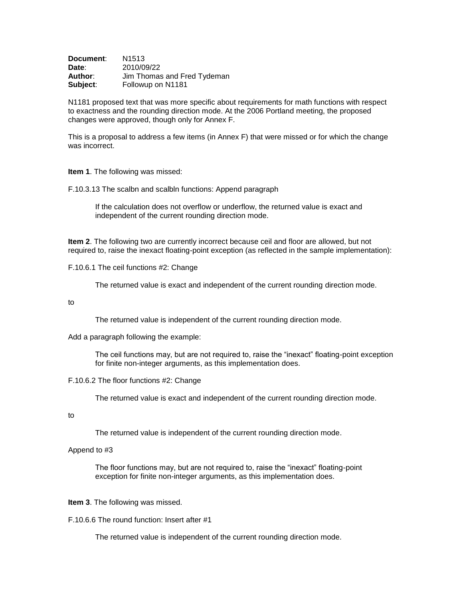| Document: | N <sub>1513</sub>           |
|-----------|-----------------------------|
| Date:     | 2010/09/22                  |
| Author∶   | Jim Thomas and Fred Tydeman |
| Subject:  | Followup on N1181           |

N1181 proposed text that was more specific about requirements for math functions with respect to exactness and the rounding direction mode. At the 2006 Portland meeting, the proposed changes were approved, though only for Annex F.

This is a proposal to address a few items (in Annex F) that were missed or for which the change was incorrect.

**Item 1**. The following was missed:

F.10.3.13 The scalbn and scalbln functions: Append paragraph

If the calculation does not overflow or underflow, the returned value is exact and independent of the current rounding direction mode.

**Item 2**. The following two are currently incorrect because ceil and floor are allowed, but not required to, raise the inexact floating-point exception (as reflected in the sample implementation):

F.10.6.1 The ceil functions #2: Change

The returned value is exact and independent of the current rounding direction mode.

to

The returned value is independent of the current rounding direction mode.

Add a paragraph following the example:

The ceil functions may, but are not required to, raise the "inexact" floating-point exception for finite non-integer arguments, as this implementation does.

## F.10.6.2 The floor functions #2: Change

The returned value is exact and independent of the current rounding direction mode.

to

The returned value is independent of the current rounding direction mode.

## Append to #3

The floor functions may, but are not required to, raise the "inexact" floating-point exception for finite non-integer arguments, as this implementation does.

## **Item 3**. The following was missed.

F.10.6.6 The round function: Insert after #1

The returned value is independent of the current rounding direction mode.